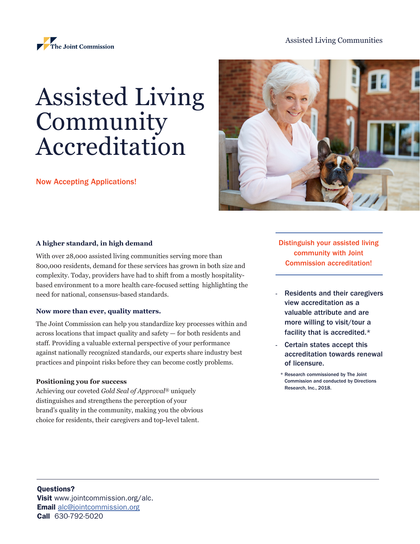## Assisted Living Communities



# Assisted Living Community Accreditation

Now Accepting Applications!



### **A higher standard, in high demand**

With over 28,000 assisted living communities serving more than 800,000 residents, demand for these services has grown in both size and complexity. Today, providers have had to shift from a mostly hospitalitybased environment to a more health care-focused setting highlighting the need for national, consensus-based standards.

#### **Now more than ever, quality matters.**

The Joint Commission can help you standardize key processes within and across locations that impact quality and safety — for both residents and staff. Providing a valuable external perspective of your performance against nationally recognized standards, our experts share industry best practices and pinpoint risks before they can become costly problems.

#### **Positioning you for success**

Achieving our coveted *Gold Seal of Approval*® uniquely distinguishes and strengthens the perception of your brand's quality in the community, making you the obvious choice for residents, their caregivers and top-level talent.

Distinguish your assisted living community with Joint Commission accreditation!

- Residents and their caregivers view accreditation as a valuable attribute and are more willing to visit/tour a facility that is accredited.\*
- Certain states accept this accreditation towards renewal of licensure.
	- \* Research commissioned by The Joint Commission and conducted by Directions Research, Inc., 2018.